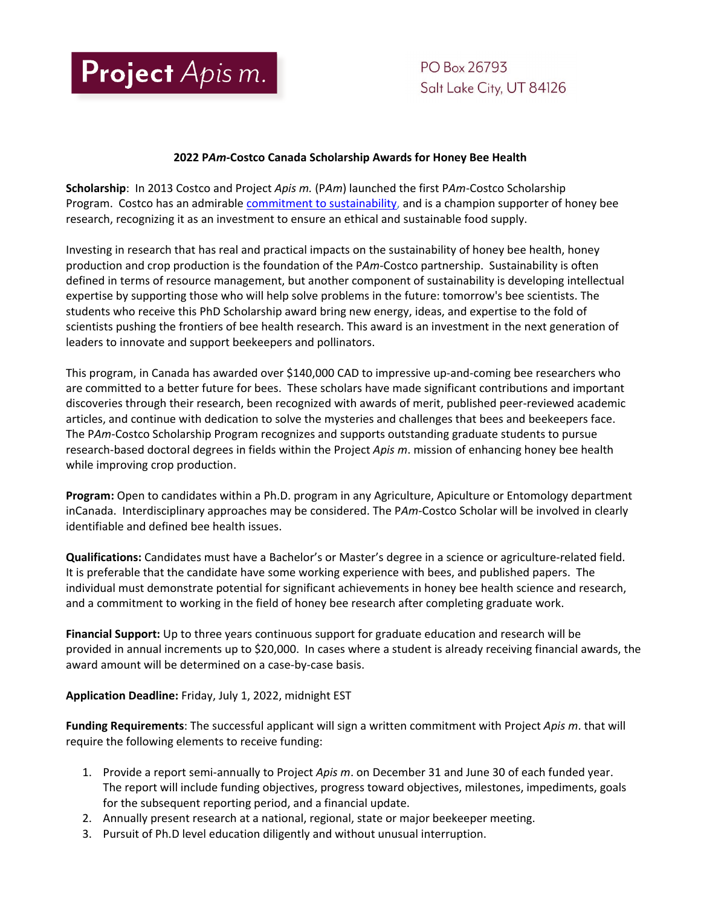

PO Box 26793 Salt Lake City, UT 84126

## **2022 P***Am***-Costco Canada Scholarship Awards for Honey Bee Health**

**Scholarship**: In 2013 Costco and Project *Apis m.* (P*Am*) launched the first P*Am*-Costco Scholarship Program. Costco has an admirable [commitment to sustainability,](https://www.costco.com/sustainability-introduction.html) and is a champion supporter of honey bee research, recognizing it as an investment to ensure an ethical and sustainable food supply.

Investing in research that has real and practical impacts on the sustainability of honey bee health, honey production and crop production is the foundation of the P*Am*-Costco partnership. Sustainability is often defined in terms of resource management, but another component of sustainability is developing intellectual expertise by supporting those who will help solve problems in the future: tomorrow's bee scientists. The students who receive this PhD Scholarship award bring new energy, ideas, and expertise to the fold of scientists pushing the frontiers of bee health research. This award is an investment in the next generation of leaders to innovate and support beekeepers and pollinators.

This program, in Canada has awarded over \$140,000 CAD to impressive up-and-coming bee researchers who are committed to a better future for bees. These scholars have made significant contributions and important discoveries through their research, been recognized with awards of merit, published peer-reviewed academic articles, and continue with dedication to solve the mysteries and challenges that bees and beekeepers face. The P*Am*-Costco Scholarship Program recognizes and supports outstanding graduate students to pursue research-based doctoral degrees in fields within the Project *Apis m*. mission of enhancing honey bee health while improving crop production.

**Program:** Open to candidates within a Ph.D. program in any Agriculture, Apiculture or Entomology department inCanada. Interdisciplinary approaches may be considered. The P*Am*-Costco Scholar will be involved in clearly identifiable and defined bee health issues.

**Qualifications:** Candidates must have a Bachelor's or Master's degree in a science or agriculture-related field. It is preferable that the candidate have some working experience with bees, and published papers. The individual must demonstrate potential for significant achievements in honey bee health science and research, and a commitment to working in the field of honey bee research after completing graduate work.

**Financial Support:** Up to three years continuous support for graduate education and research will be provided in annual increments up to \$20,000. In cases where a student is already receiving financial awards, the award amount will be determined on a case-by-case basis.

**Application Deadline:** Friday, July 1, 2022, midnight EST

**Funding Requirements**: The successful applicant will sign a written commitment with Project *Apis m*. that will require the following elements to receive funding:

- 1. Provide a report semi-annually to Project *Apis m*. on December 31 and June 30 of each funded year. The report will include funding objectives, progress toward objectives, milestones, impediments, goals for the subsequent reporting period, and a financial update.
- 2. Annually present research at a national, regional, state or major beekeeper meeting.
- 3. Pursuit of Ph.D level education diligently and without unusual interruption.